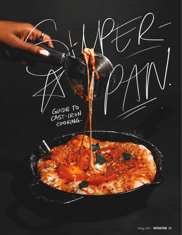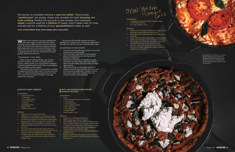- 2 cups sliced peaches
- 1½ cups sugar
- 1 cup all-purpose flour
- <sup>3⁄4</sup> cup milk of choice
- $\frac{1}{2}$  cup butter
- 2 tsp baking powder<br>Sprinkle of salt
- 
- Whipped cream to serve

## Ingredients:

## Method

- 1. Preheat oven to 375 degrees Fahrenheit.
- 2. Add peaches,  $\frac{1}{2}$  cup sugar and  $\frac{1}{2}$  cup of flour to a large mixing bowl, tossing until the peaches are evenly coated.
- In another large mixing bowl combine the remaining flour, baking powder, milk, ¾ cup sugar, and a sprinkle of salt.
- 4. Melt the butter in a cast iron skillet over low heat. Once melted, pour batter from the previous step into the butter; do not stir.
- 5. Pour peach mixture into the batter mixture; don't stir.
- Place the cast iron on the top oven rack and bake for 30-40 minutes or until crust is golden brown and puffy.
- 7. Carefully remove the skillet from the oven, and allow it to cool slightly before serving with a dollop (or more) of whipped cream.

Ces gasvice

# No kitchen is complete without a cast iron skillet. These trusty "workhouses" are sturdy, cheap and versatile for both stovetop and oven cooking. Perfect for one-pot or pan recipes, this cookware staple could be used for a lifetime of meals—and if taken care of—may actually last for a lifetime of your grandchildren's meals as well.

"Seasoning" in this context is a process that, according to magazine and *Delish*, bakes a layer of oil into the pan to allow it to withstand the blazing temperatures necessary for a seared steak, yet slippery enough to make eggs without fear of sticking.

- 6 eggs
- 2 cups roasted and chopped red bell pepper
- 1<sup>1</sup>/<sub>2</sub> cups spinach
- <sup>1/4</sup> cup milk of choice
- ⅓ cup crumbled feta cheese
- $\frac{1}{2}$  tbsp vegetable oil  $2$  cloves minced garlic  $1$  chopped shallot
- 
- 
- Salt and pepper to taste

**words\_nicolette bullard. design\_lauren maingot. photo\_teagan polizzi.**

Whether you're looking to serve up a sizzling steak, sauté some veggies or make the perfect frittata, the classic cast iron skillet may be just be your new best friend. This hardy metal cookware is made to withstand high temperatures and can be used on the stove, in the oven or even over an open fire. Cast iron products come in all shapes and sizes, from six-inch pans to face-sized griddles, dutch ovens and more.

- Preheat oven to 400 degrees Fahrenheit.
- 2. Whisk together eggs, milk, salt and garlic.
- Heat vegetable oil in a cast iron skillet over medium heat. Add the chopped shallot, salt and pepper. Once the shallot is translucent, add spinach and roasted peppers, sautéing until the spinach has wilted. Ensure that vegetables are evenly distributed throughout the skillet.
- Add egg mixture to the cast iron, gently shaking the pan to distribute evenly.
- Sprinkle with feta before placing cast iron in the oven to bake for 15-20 minutes or until the eggs have set. Season to taste and serve.

## "SEASONING" CAST IRON

Before you get to cooking, though, your cast iron should be seasoned. The same way a guitar must be tuned or stilettos broken in, cast iron products should be seasoned to yield the tastiest results. But we aren't talking about sprinkling on some oregano.

## FETA AND ROASTED RED PEPPER SPINACH FRITTATA

#### Ingredients:

## Method

This process will naturally continue over time as buildup from cooking creates a smooth yet tough surface. Basically, the more the cast iron is used, the better it gets.

## SEASONING IN FOUR STEPS

- 1. Scrub your cast iron with soap and warm water until smooth, then rinse thoroughly.
- 2. To dry, pat with a paper towel or cloth and then place over medium heat on a stovetop until all moisture is evaporated.
- 3. Rub about two teaspoons of vegetable or canola oil into the cast iron using a paper towel. Buff all sides (even the handle) of the pan until it no longer appears greasy.
- Place the cast iron in a 450-degree oven for 45 minutes to an hour, then allow the cast iron to cool in the oven for an additional 15 minutes with the door closed. Afterwards, carefully remove the cookware and let it cool completely.

## **PEACHY KEEN COBBLER**

## Ingredients:

- 1 package pre-prepared chocolate chip cookie dough 15-20 Double Stuf Oreos
- 
- 4-6 scoops vanilla ice cream

## Method:

- 1. Preheat oven to 350 degrees Fahrenheit. In a large cast iron skillet, layer cookie dough and crushed Oreos.
- Bake skillet covered with aluminum foil for about nine to 11 minutes.
- 3. Remove foil and continue baking until the cookie dough is golden with crispy edges. Insert a toothpick into the center of the dough to ensure that the cake is fully cooked. The toothpick should come out clean with few crumbs.
- 4. Once done, remove the cookie cake from the oven and allow it to cool before topping with vanilla ice cream and additional Oreos as desired.

According to UnoCasa, a cast iron skillet could tolerate up to 1500°F. Even though only industry standard ovens can get that hot, these pans are probably the most durable kitchenware you'll ever stock in your pantry.